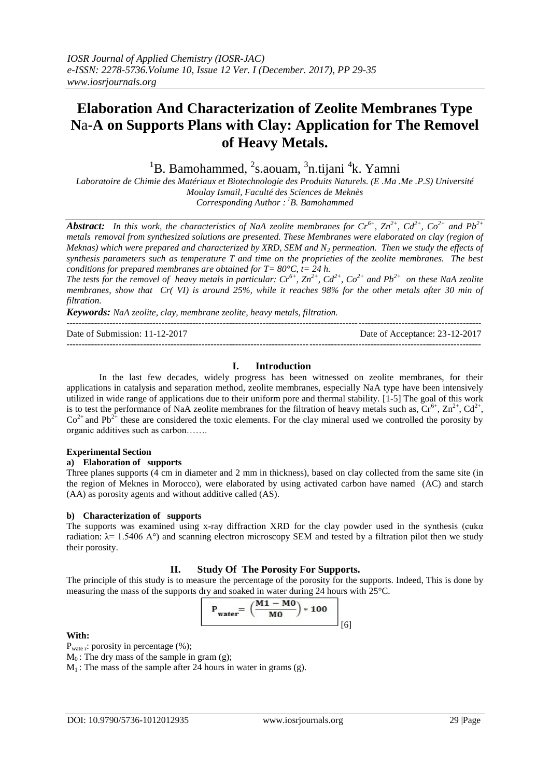# **Elaboration And Characterization of Zeolite Membranes Type N**a**-A on Supports Plans with Clay: Application for The Removel of Heavy Metals.**

 ${}^{1}$ B. Bamohammed,  ${}^{2}$ s.aouam,  ${}^{3}$ n.tijani  ${}^{4}$ k. Yamni

*Laboratoire de Chimie des Matériaux et Biotechnologie des Produits Naturels. (E .Ma .Me .P.S) Université Moulay Ismail, Faculté des Sciences de Meknès*

*Corresponding Author : <sup>1</sup>B. Bamohammed*

*Abstract: In this work, the characteristics of NaA zeolite membranes for*  $Cr^{6+}$ *,*  $Zn^{2+}$ *,*  $Cd^{2+}$ *,*  $Co^{2+}$  *and*  $Pb^{2+}$ *metals removal from synthesized solutions are presented. These Membranes were elaborated on clay (region of Meknas) which were prepared and characterized by XRD, SEM and N<sup>2</sup> permeation. Then we study the effects of synthesis parameters such as temperature T and time on the proprieties of the zeolite membranes. The best conditions for prepared membranes are obtained for T= 80°C, t= 24 h.* 

*The tests for the removel of heavy metals in particular:*  $Cr^{6+}$ ,  $Zn^{2+}$ ,  $Cd^{2+}$ ,  $Co^{2+}$  *and Pb*<sup>2+</sup> *on these NaA zeolite membranes, show that Cr( VI) is around 25%, while it reaches 98% for the other metals after 30 min of filtration.*

*Keywords: NaA zeolite, clay, membrane zeolite, heavy metals, filtration.*

| Date of Submission: 11-12-2017 | Date of Acceptance: 23-12-2017 |
|--------------------------------|--------------------------------|
|                                |                                |

### **I. Introduction**

In the last few decades, widely progress has been witnessed on zeolite membranes, for their applications in catalysis and separation method, zeolite membranes, especially NaA type have been intensively utilized in wide range of applications due to their uniform pore and thermal stability. [1-5] The goal of this work is to test the performance of NaA zeolite membranes for the filtration of heavy metals such as,  $Cr^{6+}$ ,  $Zn^{2+}$ ,  $Cd^{2+}$ ,  $Co<sup>2+</sup>$  and Pb<sup>2+</sup> these are considered the toxic elements. For the clay mineral used we controlled the porosity by organic additives such as carbon…….

#### **Experimental Section**

## **a) Elaboration of supports**

Three planes supports (4 cm in diameter and 2 mm in thickness), based on clay collected from the same site (in the region of Meknes in Morocco), were elaborated by using activated carbon have named (AC) and starch (AA) as porosity agents and without additive called (AS).

#### **b) Characterization of supports**

The supports was examined using x-ray diffraction XRD for the clay powder used in the synthesis (cuka radiation:  $λ = 1.5406 A°$ ) and scanning electron microscopy SEM and tested by a filtration pilot then we study their porosity.

## **II. Study Of The Porosity For Supports.**

The principle of this study is to measure the percentage of the porosity for the supports. Indeed, This is done by measuring the mass of the supports dry and soaked in water during 24 hours with 25°C.

$$
P_{\text{water}} = \left(\frac{M1 - M0}{M0}\right) * 100
$$
 [6]

#### **With:**

P<sub>wate r</sub>: porosity in percentage (%);

 $M_0$ : The dry mass of the sample in gram (g);

 $M_1$ : The mass of the sample after 24 hours in water in grams (g).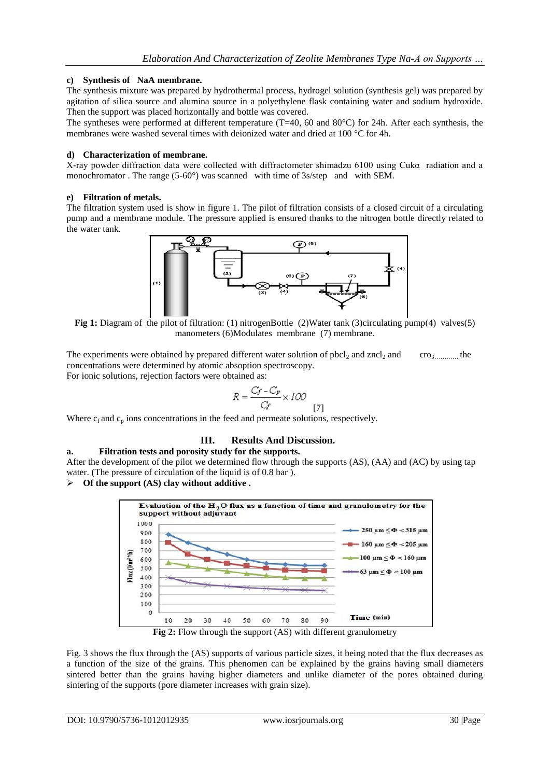## **c) Synthesis of NaA membrane.**

The synthesis mixture was prepared by hydrothermal process, hydrogel solution (synthesis gel) was prepared by agitation of silica source and alumina source in a polyethylene flask containing water and sodium hydroxide. Then the support was placed horizontally and bottle was covered.

The syntheses were performed at different temperature (T=40, 60 and 80°C) for 24h. After each synthesis, the membranes were washed several times with deionized water and dried at 100 °C for 4h.

#### **d) Characterization of membrane.**

X-ray powder diffraction data were collected with diffractometer shimadzu 6100 using Cukα radiation and a monochromator . The range (5-60°) was scanned with time of 3s/step and with SEM.

#### **e) Filtration of metals.**

The filtration system used is show in figure 1. The pilot of filtration consists of a closed circuit of a circulating pump and a membrane module. The pressure applied is ensured thanks to the nitrogen bottle directly related to the water tank.



**Fig 1:** Diagram of the pilot of filtration: (1) nitrogenBottle (2)Water tank (3)circulating pump(4) valves(5) manometers (6)Modulates membrane (7) membrane.

The experiments were obtained by prepared different water solution of  $pbcl_2$  and  $zncl_2$  and  $\cdots$  cro<sub>3</sub> the concentrations were determined by atomic absoption spectroscopy. For ionic solutions, rejection factors were obtained as:

$$
R = \frac{C_f - C_p}{C_f} \times 100
$$
 [7]

Where  $c_f$  and  $c_p$  ions concentrations in the feed and permeate solutions, respectively.

## **III. Results And Discussion.**

**a. Filtration tests and porosity study for the supports.**

After the development of the pilot we determined flow through the supports (AS), (AA) and (AC) by using tap water. (The pressure of circulation of the liquid is of 0.8 bar ).

## **Of the support (AS) clay without additive .**



**Fig 2:** Flow through the support (AS) with different granulometry

Fig. 3 shows the flux through the (AS) supports of various particle sizes, it being noted that the flux decreases as a function of the size of the grains. This phenomen can be explained by the grains having small diameters sintered better than the grains having higher diameters and unlike diameter of the pores obtained during sintering of the supports (pore diameter increases with grain size).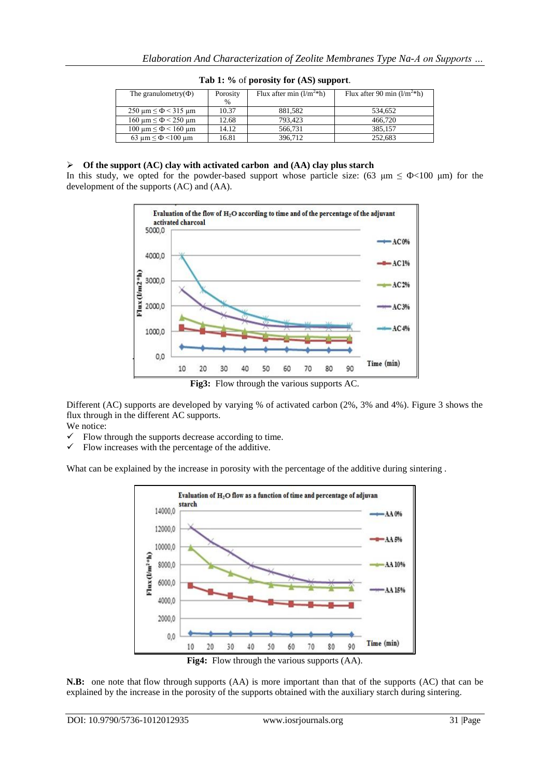| The granulometry $(\Phi)$                                        | Porosity<br>$\frac{0}{0}$ | Flux after min $(l/m^2*h)$ | Flux after 90 min $(l/m2*h)$ |
|------------------------------------------------------------------|---------------------------|----------------------------|------------------------------|
| $250 \text{ µm} \leq \Phi < 315 \text{ µm}$                      | 10.37                     | 881,582                    | 534.652                      |
| $160 \text{ µm} \leq \Phi \leq 250 \text{ µm}$                   | 12.68                     | 793.423                    | 466.720                      |
| $100 \text{ }\mu\text{m} \leq \Phi \leq 160 \text{ }\mu\text{m}$ | 14.12                     | 566,731                    | 385.157                      |
| 63 $\mu$ m $\leq \Phi$ <100 $\mu$ m                              | 16.81                     | 396.712                    | 252.683                      |

### **Tab 1: %** of **porosity for (AS) support**.

#### **Of the support (AC) clay with activated carbon and (AA) clay plus starch**

In this study, we opted for the powder-based support whose particle size: (63  $\mu$ m  $\leq$   $\Phi$  <100  $\mu$ m) for the development of the supports (AC) and (AA).



**Fig3:** Flow through the various supports AC.

Different (AC) supports are developed by varying % of activated carbon (2%, 3% and 4%). Figure 3 shows the flux through in the different AC supports.

We notice:

- Flow through the supports decrease according to time.
- $\checkmark$  Flow increases with the percentage of the additive.

What can be explained by the increase in porosity with the percentage of the additive during sintering.



**N.B:** one note that flow through supports (AA) is more important than that of the supports (AC) that can be explained by the increase in the porosity of the supports obtained with the auxiliary starch during sintering.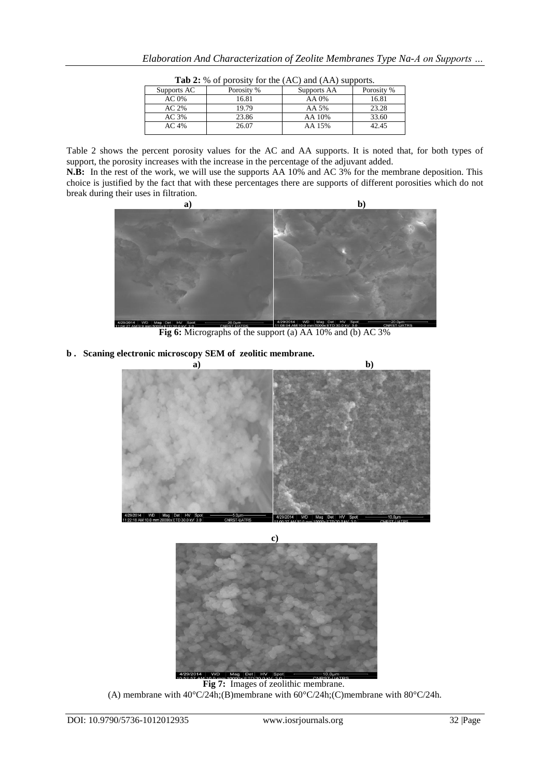| <b>Table.</b> 70 Of porosity for the $(AC)$ and $(AT)$ supports. |            |             |            |
|------------------------------------------------------------------|------------|-------------|------------|
| Supports AC                                                      | Porosity % | Supports AA | Porosity % |
| $AC 0\%$                                                         | 16.81      | AA 0%       | 16.81      |
| AC <sub>2%</sub>                                                 | 19.79      | AA 5%       | 23.28      |
| AC 3%                                                            | 23.86      | AA 10%      | 33.60      |
| AC.4%                                                            | 26.07      | AA 15%      | 42.45      |
|                                                                  |            |             |            |

**Tab 2:** % of porosity for the (AC) and (AA) supports.

Table 2 shows the percent porosity values for the AC and AA supports. It is noted that, for both types of support, the porosity increases with the increase in the percentage of the adjuvant added.

**N.B:** In the rest of the work, we will use the supports AA 10% and AC 3% for the membrane deposition. This choice is justified by the fact that with these percentages there are supports of different porosities which do not break during their uses in filtration.



**Fig 6:** Micrographs of the support (a) AA 10% and (b) AC 3%

**b . Scaning electronic microscopy SEM of zeolitic membrane.**





**Fig 7:** Images of zeolithic membrane. (A) membrane with  $40^{\circ}$ C/24h;(B)membrane with  $60^{\circ}$ C/24h;(C)membrane with  $80^{\circ}$ C/24h.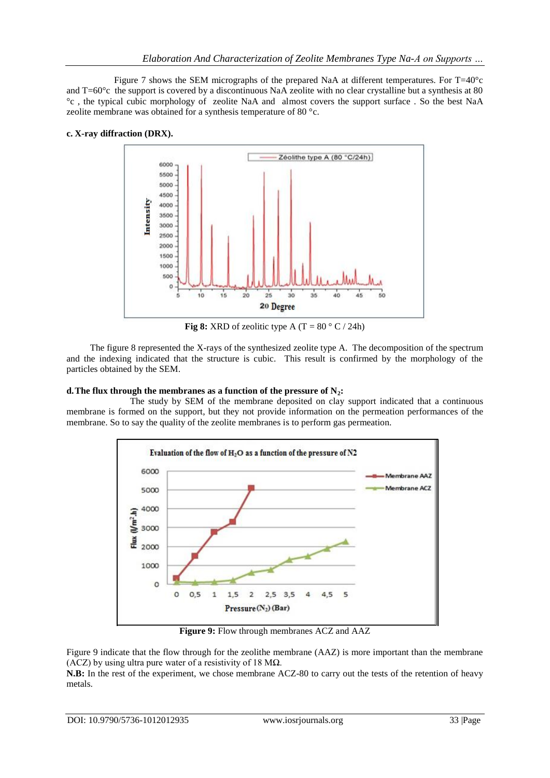Figure 7 shows the SEM micrographs of the prepared NaA at different temperatures. For  $T=40^{\circ}c$ and T=60°c the support is covered by a discontinuous NaA zeolite with no clear crystalline but a synthesis at 80 °c , the typical cubic morphology of zeolite NaA and almost covers the support surface . So the best NaA zeolite membrane was obtained for a synthesis temperature of 80 °c.

## **c. X-ray diffraction (DRX).**



**Fig 8:** XRD of zeolitic type A (T =  $80^{\circ}$  C / 24h)

The figure 8 represented the X-rays of the synthesized zeolite type A. The decomposition of the spectrum and the indexing indicated that the structure is cubic. This result is confirmed by the morphology of the particles obtained by the SEM.

## **d.The flux through the membranes as a function of the pressure of N2:**

The study by SEM of the membrane deposited on clay support indicated that a continuous membrane is formed on the support, but they not provide information on the permeation performances of the membrane. So to say the quality of the zeolite membranes is to perform gas permeation.



**Figure 9:** Flow through membranes ACZ and AAZ

Figure 9 indicate that the flow through for the zeolithe membrane (AAZ) is more important than the membrane (ACZ) by using ultra pure water of a resistivity of 18 M $\Omega$ .

**N.B:** In the rest of the experiment, we chose membrane ACZ-80 to carry out the tests of the retention of heavy metals.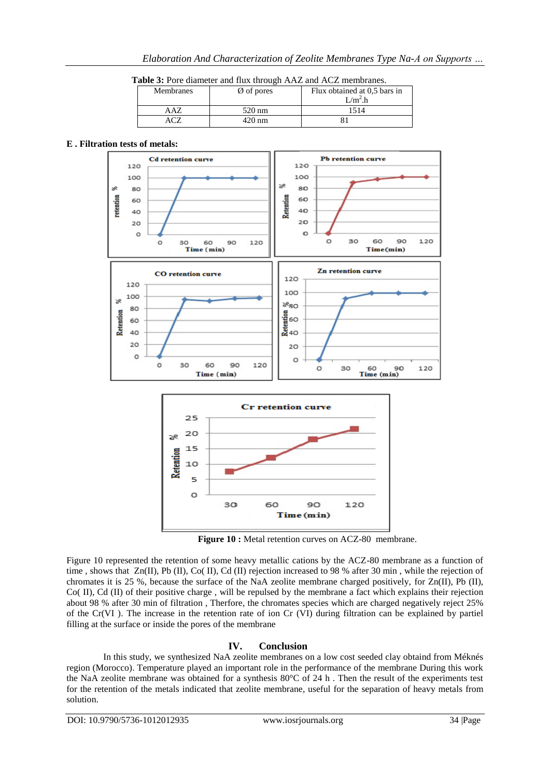| Table 3: Pore diameter and flux through AAZ and ACZ membranes. |  |
|----------------------------------------------------------------|--|
|----------------------------------------------------------------|--|

| <b>Membranes</b> | $\emptyset$ of pores | Flux obtained at 0.5 bars in<br>$1/m^2$ .h |
|------------------|----------------------|--------------------------------------------|
|                  | 520 nm               |                                            |
|                  | 420 nm               |                                            |

#### **E . Filtration tests of metals:**



**Figure 10 :** Metal retention curves on ACZ-80 membrane.

Figure 10 represented the retention of some heavy metallic cations by the ACZ-80 membrane as a function of time , shows that Zn(II), Pb (II), Co( II), Cd (II) rejection increased to 98 % after 30 min , while the rejection of chromates it is 25 %, because the surface of the NaA zeolite membrane charged positively, for Zn(II), Pb (II), Co( II), Cd (II) of their positive charge , will be repulsed by the membrane a fact which explains their rejection about 98 % after 30 min of filtration , Therfore, the chromates species which are charged negatively reject 25% of the Cr(VI ). The increase in the retention rate of ion Cr (VI) during filtration can be explained by partiel filling at the surface or inside the pores of the membrane

## **IV. Conclusion**

In this study, we synthesized NaA zeolite membranes on a low cost seeded clay obtaind from Méknés region (Morocco). Temperature played an important role in the performance of the membrane During this work the NaA zeolite membrane was obtained for a synthesis 80°C of 24 h . Then the result of the experiments test for the retention of the metals indicated that zeolite membrane, useful for the separation of heavy metals from solution.